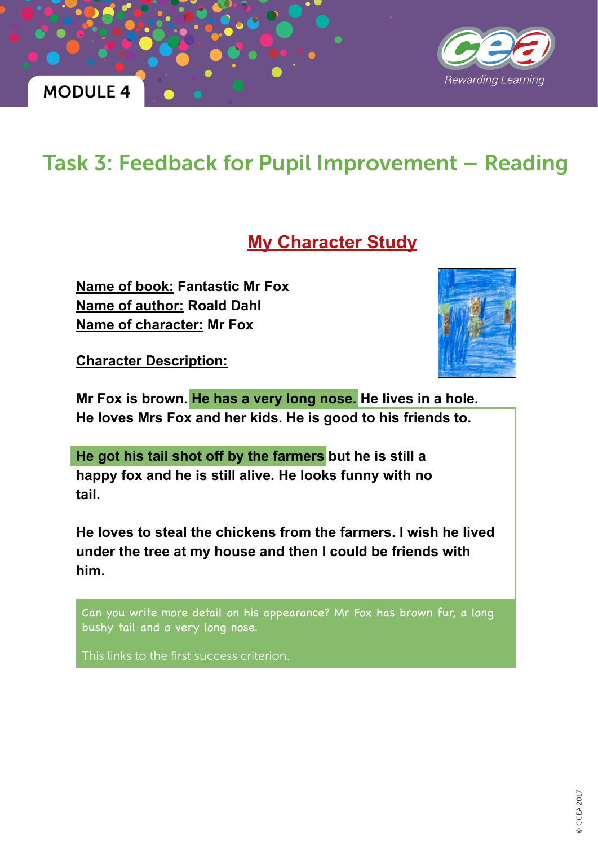



# Task 3: Feedback for Pupil Improvement – Reading

### **My Character Study**

**Name of book: Fantastic Mr Fox Name of author: Roald Dahl Name of character: Mr Fox**





**Mr Fox is brown. He has a very long nose. He lives in a hole. He loves Mrs Fox and her kids. He is good to his friends to.**

**He got his tail shot off by the farmers but he is still a happy fox and he is still alive. He looks funny with no tail.**

**He loves to steal the chickens from the farmers. I wish he lived under the tree at my house and then I could be friends with him.**

Can you write more detail on his appearance? Mr Fox has brown fur, a long bushy tail and a very long nose.

This links to the first success criterion.